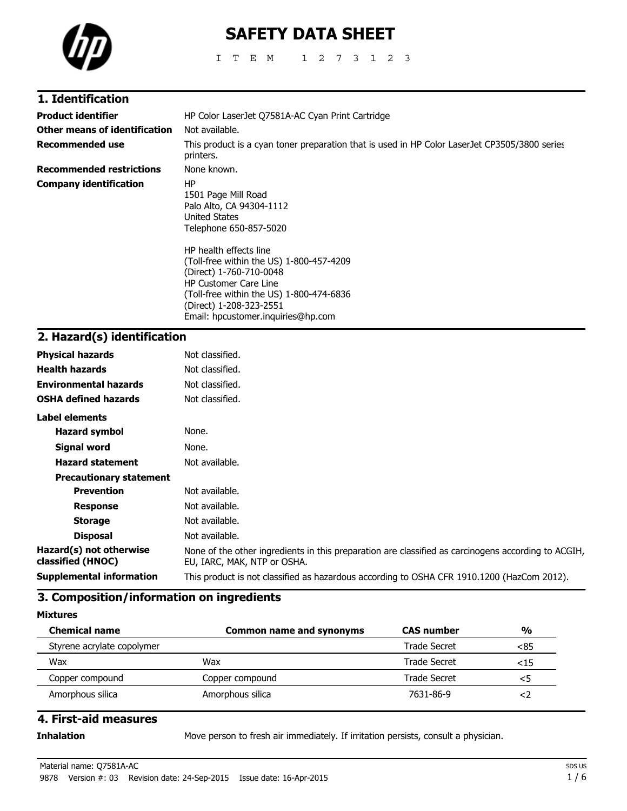

# **SAFETY DATA SHEET**

ITEM 1273123

| 1. Identification               |                                                                                                                                                                                                                                            |
|---------------------------------|--------------------------------------------------------------------------------------------------------------------------------------------------------------------------------------------------------------------------------------------|
| <b>Product identifier</b>       | HP Color LaserJet Q7581A-AC Cyan Print Cartridge                                                                                                                                                                                           |
| Other means of identification   | Not available.                                                                                                                                                                                                                             |
| <b>Recommended use</b>          | This product is a cyan toner preparation that is used in HP Color LaserJet CP3505/3800 series<br>printers.                                                                                                                                 |
| <b>Recommended restrictions</b> | None known.                                                                                                                                                                                                                                |
| Company identification          | ΗP<br>1501 Page Mill Road<br>Palo Alto, CA 94304-1112<br>United States<br>Telephone 650-857-5020                                                                                                                                           |
|                                 | HP health effects line<br>(Toll-free within the US) 1-800-457-4209<br>(Direct) 1-760-710-0048<br><b>HP Customer Care Line</b><br>(Toll-free within the US) 1-800-474-6836<br>(Direct) 1-208-323-2551<br>Email: hpcustomer.inquiries@hp.com |

# **2. Hazard(s) identification**

| <b>Physical hazards</b>                      | Not classified.                                                                                                                    |
|----------------------------------------------|------------------------------------------------------------------------------------------------------------------------------------|
| <b>Health hazards</b>                        | Not classified.                                                                                                                    |
| <b>Environmental hazards</b>                 | Not classified.                                                                                                                    |
| <b>OSHA defined hazards</b>                  | Not classified.                                                                                                                    |
| Label elements                               |                                                                                                                                    |
| <b>Hazard symbol</b>                         | None.                                                                                                                              |
| Signal word                                  | None.                                                                                                                              |
| <b>Hazard statement</b>                      | Not available.                                                                                                                     |
| <b>Precautionary statement</b>               |                                                                                                                                    |
| <b>Prevention</b>                            | Not available.                                                                                                                     |
| <b>Response</b>                              | Not available.                                                                                                                     |
| <b>Storage</b>                               | Not available.                                                                                                                     |
| <b>Disposal</b>                              | Not available.                                                                                                                     |
| Hazard(s) not otherwise<br>classified (HNOC) | None of the other ingredients in this preparation are classified as carcinogens according to ACGIH,<br>EU, IARC, MAK, NTP or OSHA. |
| <b>Supplemental information</b>              | This product is not classified as hazardous according to OSHA CFR 1910.1200 (HazCom 2012).                                         |
|                                              |                                                                                                                                    |

# **3. Composition/information on ingredients**

**Mixtures**

| <b>Chemical name</b>       | <b>Common name and synonyms</b> | <b>CAS number</b> | $\frac{0}{0}$ |
|----------------------------|---------------------------------|-------------------|---------------|
| Styrene acrylate copolymer |                                 | Trade Secret      | <85           |
| Wax                        | Wax                             | Trade Secret      | <15           |
| Copper compound            | Copper compound                 | Trade Secret      | כ>            |
| Amorphous silica           | Amorphous silica                | 7631-86-9         |               |

### **4. First-aid measures**

**Inhalation** Move person to fresh air immediately. If irritation persists, consult a physician.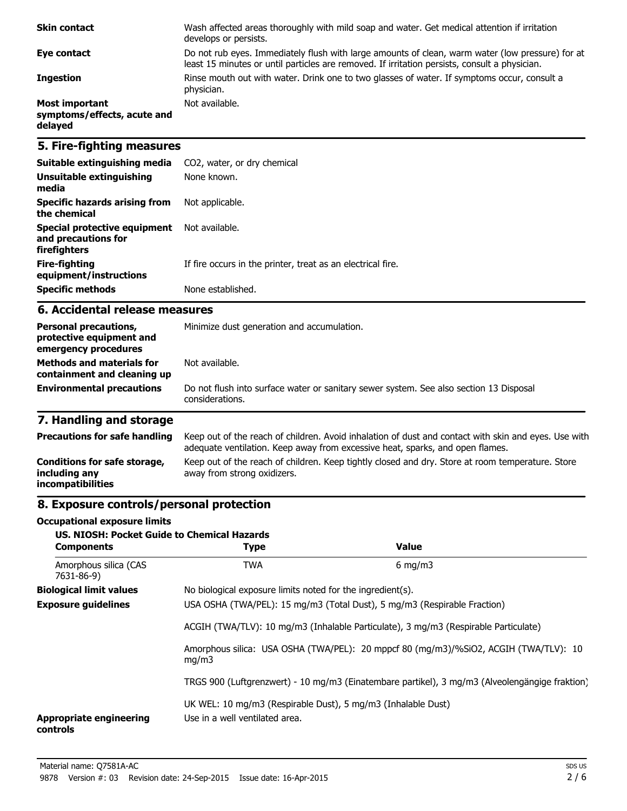| <b>Skin contact</b>                                             | Wash affected areas thoroughly with mild soap and water. Get medical attention if irritation<br>develops or persists.                                                                             |
|-----------------------------------------------------------------|---------------------------------------------------------------------------------------------------------------------------------------------------------------------------------------------------|
| Eye contact                                                     | Do not rub eyes. Immediately flush with large amounts of clean, warm water (low pressure) for at<br>least 15 minutes or until particles are removed. If irritation persists, consult a physician. |
| <b>Ingestion</b>                                                | Rinse mouth out with water. Drink one to two glasses of water. If symptoms occur, consult a<br>physician.                                                                                         |
| <b>Most important</b><br>symptoms/effects, acute and<br>delayed | Not available.                                                                                                                                                                                    |

# **5. Fire-fighting measures**

| Suitable extinguishing media                                        | CO2, water, or dry chemical                                 |
|---------------------------------------------------------------------|-------------------------------------------------------------|
| Unsuitable extinguishing<br>media                                   | None known.                                                 |
| Specific hazards arising from<br>the chemical                       | Not applicable.                                             |
| Special protective equipment<br>and precautions for<br>firefighters | Not available.                                              |
| Fire-fighting<br>equipment/instructions                             | If fire occurs in the printer, treat as an electrical fire. |
| <b>Specific methods</b>                                             | None established.                                           |

### **6. Accidental release measures**

| <b>Personal precautions,</b><br>protective equipment and<br>emergency procedures | Minimize dust generation and accumulation.                                                                |  |
|----------------------------------------------------------------------------------|-----------------------------------------------------------------------------------------------------------|--|
| <b>Methods and materials for</b><br>containment and cleaning up                  | Not available.                                                                                            |  |
| <b>Environmental precautions</b>                                                 | Do not flush into surface water or sanitary sewer system. See also section 13 Disposal<br>considerations. |  |

# **7. Handling and storage**

| <b>Precautions for safe handling</b>                                      | Keep out of the reach of children. Avoid inhalation of dust and contact with skin and eyes. Use with<br>adequate ventilation. Keep away from excessive heat, sparks, and open flames. |
|---------------------------------------------------------------------------|---------------------------------------------------------------------------------------------------------------------------------------------------------------------------------------|
| Conditions for safe storage,<br>including any<br><i>incompatibilities</i> | Keep out of the reach of children. Keep tightly closed and dry. Store at room temperature. Store<br>away from strong oxidizers.                                                       |

# **8. Exposure controls/personal protection**

#### **Occupational exposure limits**

| <b>US. NIOSH: Pocket Guide to Chemical Hazards</b><br><b>Components</b> | <b>Type</b>                                                                                                                                                     | <b>Value</b>                                                                         |  |
|-------------------------------------------------------------------------|-----------------------------------------------------------------------------------------------------------------------------------------------------------------|--------------------------------------------------------------------------------------|--|
| Amorphous silica (CAS<br>7631-86-9)                                     | <b>TWA</b>                                                                                                                                                      | $6 \text{ mg/m}$                                                                     |  |
| <b>Biological limit values</b>                                          |                                                                                                                                                                 | No biological exposure limits noted for the ingredient(s).                           |  |
| <b>Exposure guidelines</b>                                              | USA OSHA (TWA/PEL): 15 mg/m3 (Total Dust), 5 mg/m3 (Respirable Fraction)<br>ACGIH (TWA/TLV): 10 mg/m3 (Inhalable Particulate), 3 mg/m3 (Respirable Particulate) |                                                                                      |  |
|                                                                         |                                                                                                                                                                 |                                                                                      |  |
| mq/m3                                                                   |                                                                                                                                                                 | Amorphous silica: USA OSHA (TWA/PEL): 20 mppcf 80 (mg/m3)/%SiO2, ACGIH (TWA/TLV): 10 |  |
|                                                                         | TRGS 900 (Luftgrenzwert) - 10 mg/m3 (Einatembare partikel), 3 mg/m3 (Alveolengängige fraktion)                                                                  |                                                                                      |  |
| <b>Appropriate engineering</b><br>controls                              | UK WEL: 10 mg/m3 (Respirable Dust), 5 mg/m3 (Inhalable Dust)<br>Use in a well ventilated area.                                                                  |                                                                                      |  |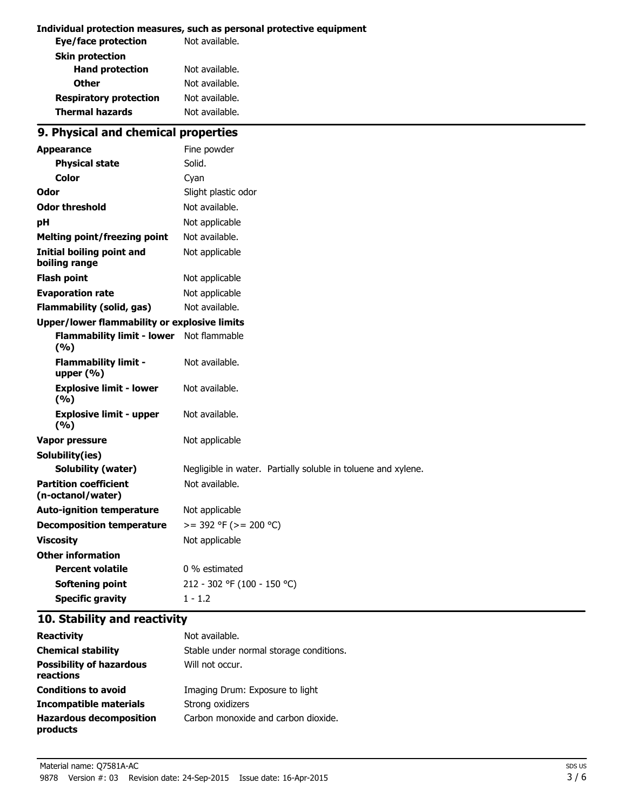#### **Individual protection measures, such as personal protective equipment**

| Eye/face protection           | Not available. |
|-------------------------------|----------------|
| <b>Skin protection</b>        |                |
| <b>Hand protection</b>        | Not available. |
| <b>Other</b>                  | Not available. |
| <b>Respiratory protection</b> | Not available. |
| <b>Thermal hazards</b>        | Not available. |
|                               |                |

# **9. Physical and chemical properties**

| <b>Appearance</b>                                 | Fine powder                                                   |  |
|---------------------------------------------------|---------------------------------------------------------------|--|
| <b>Physical state</b>                             | Solid.                                                        |  |
| Color                                             | Cyan                                                          |  |
| Odor                                              | Slight plastic odor                                           |  |
| <b>Odor threshold</b>                             | Not available.                                                |  |
| рH                                                | Not applicable                                                |  |
| <b>Melting point/freezing point</b>               | Not available.                                                |  |
| <b>Initial boiling point and</b><br>boiling range | Not applicable                                                |  |
| <b>Flash point</b>                                | Not applicable                                                |  |
| <b>Evaporation rate</b>                           | Not applicable                                                |  |
| <b>Flammability (solid, gas)</b>                  | Not available.                                                |  |
| Upper/lower flammability or explosive limits      |                                                               |  |
| <b>Flammability limit - lower</b><br>(9/6)        | Not flammable                                                 |  |
| <b>Flammability limit -</b><br>upper (%)          | Not available.                                                |  |
| <b>Explosive limit - lower</b><br>(9/6)           | Not available.                                                |  |
| <b>Explosive limit - upper</b><br>(9/6)           | Not available.                                                |  |
| <b>Vapor pressure</b>                             | Not applicable                                                |  |
| Solubility(ies)                                   |                                                               |  |
| <b>Solubility (water)</b>                         | Negligible in water. Partially soluble in toluene and xylene. |  |
| <b>Partition coefficient</b><br>(n-octanol/water) | Not available.                                                |  |
| <b>Auto-ignition temperature</b>                  | Not applicable                                                |  |
| <b>Decomposition temperature</b>                  | $>=$ 392 °F ( $>=$ 200 °C)                                    |  |
| <b>Viscosity</b>                                  | Not applicable                                                |  |
| <b>Other information</b>                          |                                                               |  |
| <b>Percent volatile</b>                           | 0 % estimated                                                 |  |
| Softening point                                   | 212 - 302 °F (100 - 150 °C)                                   |  |
| <b>Specific gravity</b>                           | $1 - 1.2$                                                     |  |

## **10. Stability and reactivity**

| <b>Reactivity</b>                            | Not available.                          |
|----------------------------------------------|-----------------------------------------|
| <b>Chemical stability</b>                    | Stable under normal storage conditions. |
| <b>Possibility of hazardous</b><br>reactions | Will not occur.                         |
| <b>Conditions to avoid</b>                   | Imaging Drum: Exposure to light         |
| Incompatible materials                       | Strong oxidizers                        |
| <b>Hazardous decomposition</b><br>products   | Carbon monoxide and carbon dioxide.     |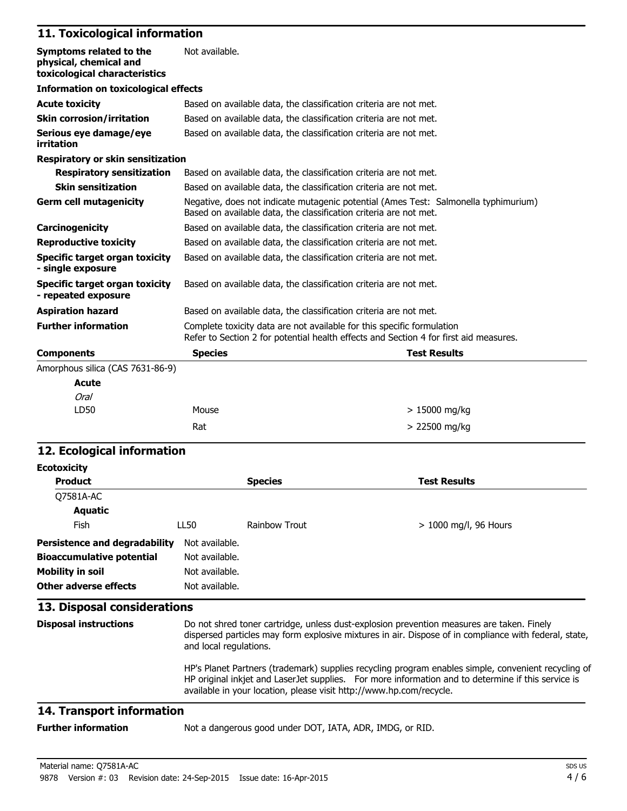# **11. Toxicological information**

| Symptoms related to the<br>physical, chemical and<br>toxicological characteristics | Not available.                                                                                                                                                  |                     |  |
|------------------------------------------------------------------------------------|-----------------------------------------------------------------------------------------------------------------------------------------------------------------|---------------------|--|
| <b>Information on toxicological effects</b>                                        |                                                                                                                                                                 |                     |  |
| <b>Acute toxicity</b>                                                              | Based on available data, the classification criteria are not met.                                                                                               |                     |  |
| <b>Skin corrosion/irritation</b>                                                   | Based on available data, the classification criteria are not met.                                                                                               |                     |  |
| Serious eye damage/eye<br>irritation                                               | Based on available data, the classification criteria are not met.                                                                                               |                     |  |
| <b>Respiratory or skin sensitization</b>                                           |                                                                                                                                                                 |                     |  |
| <b>Respiratory sensitization</b>                                                   | Based on available data, the classification criteria are not met.                                                                                               |                     |  |
| <b>Skin sensitization</b>                                                          | Based on available data, the classification criteria are not met.                                                                                               |                     |  |
| <b>Germ cell mutagenicity</b>                                                      | Negative, does not indicate mutagenic potential (Ames Test: Salmonella typhimurium)<br>Based on available data, the classification criteria are not met.        |                     |  |
| Carcinogenicity                                                                    | Based on available data, the classification criteria are not met.                                                                                               |                     |  |
| <b>Reproductive toxicity</b>                                                       | Based on available data, the classification criteria are not met.                                                                                               |                     |  |
| <b>Specific target organ toxicity</b><br>- single exposure                         | Based on available data, the classification criteria are not met.                                                                                               |                     |  |
| Specific target organ toxicity<br>- repeated exposure                              | Based on available data, the classification criteria are not met.                                                                                               |                     |  |
| <b>Aspiration hazard</b>                                                           | Based on available data, the classification criteria are not met.                                                                                               |                     |  |
| <b>Further information</b>                                                         | Complete toxicity data are not available for this specific formulation<br>Refer to Section 2 for potential health effects and Section 4 for first aid measures. |                     |  |
| <b>Components</b>                                                                  | <b>Species</b>                                                                                                                                                  | <b>Test Results</b> |  |
| Amorphous silica (CAS 7631-86-9)                                                   |                                                                                                                                                                 |                     |  |
| <b>Acute</b>                                                                       |                                                                                                                                                                 |                     |  |
| <b>Oral</b>                                                                        |                                                                                                                                                                 |                     |  |
| LD50                                                                               | Mouse                                                                                                                                                           | $>15000$ mg/kg      |  |
|                                                                                    | Rat                                                                                                                                                             | > 22500 mg/kg       |  |

## **12. Ecological information**

| <b>Ecotoxicity</b>               |                                                                                                                                                                                                                                                                                  |                |                         |
|----------------------------------|----------------------------------------------------------------------------------------------------------------------------------------------------------------------------------------------------------------------------------------------------------------------------------|----------------|-------------------------|
| <b>Product</b>                   |                                                                                                                                                                                                                                                                                  | <b>Species</b> | <b>Test Results</b>     |
| Q7581A-AC                        |                                                                                                                                                                                                                                                                                  |                |                         |
| <b>Aquatic</b>                   |                                                                                                                                                                                                                                                                                  |                |                         |
| Fish                             | LL50                                                                                                                                                                                                                                                                             | Rainbow Trout  | $> 1000$ mg/l, 96 Hours |
| Persistence and degradability    | Not available.                                                                                                                                                                                                                                                                   |                |                         |
| <b>Bioaccumulative potential</b> | Not available.                                                                                                                                                                                                                                                                   |                |                         |
| <b>Mobility in soil</b>          | Not available.                                                                                                                                                                                                                                                                   |                |                         |
| Other adverse effects            | Not available.                                                                                                                                                                                                                                                                   |                |                         |
| 13. Disposal considerations      |                                                                                                                                                                                                                                                                                  |                |                         |
| <b>Disposal instructions</b>     | Do not shred toner cartridge, unless dust-explosion prevention measures are taken. Finely<br>dispersed particles may form explosive mixtures in air. Dispose of in compliance with federal, state,<br>and local regulations.                                                     |                |                         |
|                                  | HP's Planet Partners (trademark) supplies recycling program enables simple, convenient recycling of<br>HP original inkjet and LaserJet supplies. For more information and to determine if this service is<br>available in your location, please visit http://www.hp.com/recycle. |                |                         |

# **14. Transport information**

**Further information** Not a dangerous good under DOT, IATA, ADR, IMDG, or RID.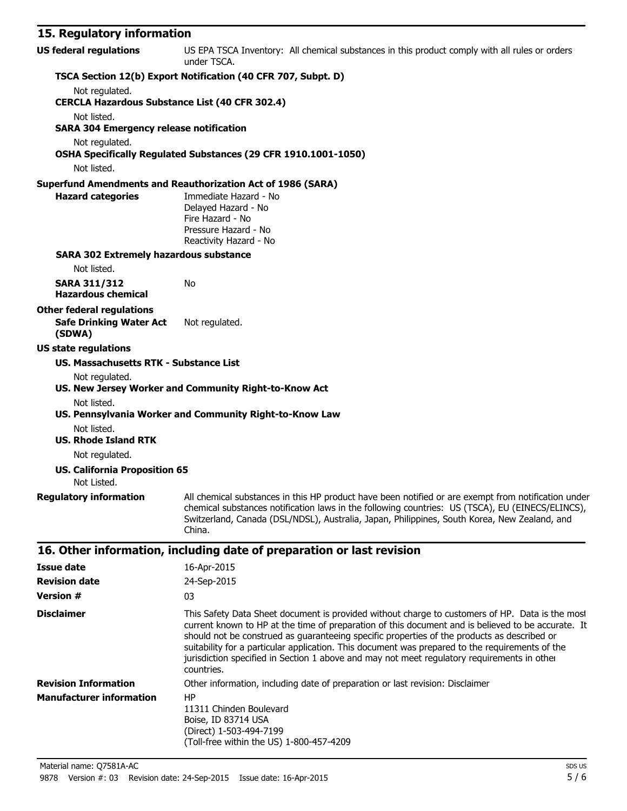# **15. Regulatory information**

| <b>US federal regulations</b>                         | US EPA TSCA Inventory: All chemical substances in this product comply with all rules or orders<br>under TSCA.                                                                                                                                                                                                     |  |  |  |  |
|-------------------------------------------------------|-------------------------------------------------------------------------------------------------------------------------------------------------------------------------------------------------------------------------------------------------------------------------------------------------------------------|--|--|--|--|
|                                                       | TSCA Section 12(b) Export Notification (40 CFR 707, Subpt. D)                                                                                                                                                                                                                                                     |  |  |  |  |
| Not regulated.                                        |                                                                                                                                                                                                                                                                                                                   |  |  |  |  |
| <b>CERCLA Hazardous Substance List (40 CFR 302.4)</b> |                                                                                                                                                                                                                                                                                                                   |  |  |  |  |
| Not listed.                                           |                                                                                                                                                                                                                                                                                                                   |  |  |  |  |
| <b>SARA 304 Emergency release notification</b>        |                                                                                                                                                                                                                                                                                                                   |  |  |  |  |
| Not regulated.                                        |                                                                                                                                                                                                                                                                                                                   |  |  |  |  |
| Not listed.                                           | OSHA Specifically Regulated Substances (29 CFR 1910.1001-1050)                                                                                                                                                                                                                                                    |  |  |  |  |
|                                                       | <b>Superfund Amendments and Reauthorization Act of 1986 (SARA)</b>                                                                                                                                                                                                                                                |  |  |  |  |
| <b>Hazard categories</b>                              | Immediate Hazard - No<br>Delayed Hazard - No<br>Fire Hazard - No<br>Pressure Hazard - No<br>Reactivity Hazard - No                                                                                                                                                                                                |  |  |  |  |
| <b>SARA 302 Extremely hazardous substance</b>         |                                                                                                                                                                                                                                                                                                                   |  |  |  |  |
| Not listed.                                           |                                                                                                                                                                                                                                                                                                                   |  |  |  |  |
| <b>SARA 311/312</b><br><b>Hazardous chemical</b>      | No                                                                                                                                                                                                                                                                                                                |  |  |  |  |
| <b>Other federal regulations</b>                      |                                                                                                                                                                                                                                                                                                                   |  |  |  |  |
| <b>Safe Drinking Water Act</b><br>(SDWA)              | Not regulated.                                                                                                                                                                                                                                                                                                    |  |  |  |  |
| <b>US state regulations</b>                           |                                                                                                                                                                                                                                                                                                                   |  |  |  |  |
| <b>US. Massachusetts RTK - Substance List</b>         |                                                                                                                                                                                                                                                                                                                   |  |  |  |  |
| Not regulated.                                        |                                                                                                                                                                                                                                                                                                                   |  |  |  |  |
|                                                       | US. New Jersey Worker and Community Right-to-Know Act                                                                                                                                                                                                                                                             |  |  |  |  |
| Not listed.                                           | US. Pennsylvania Worker and Community Right-to-Know Law                                                                                                                                                                                                                                                           |  |  |  |  |
| Not listed.                                           |                                                                                                                                                                                                                                                                                                                   |  |  |  |  |
| <b>US. Rhode Island RTK</b>                           |                                                                                                                                                                                                                                                                                                                   |  |  |  |  |
| Not regulated.                                        |                                                                                                                                                                                                                                                                                                                   |  |  |  |  |
| <b>US. California Proposition 65</b><br>Not Listed.   |                                                                                                                                                                                                                                                                                                                   |  |  |  |  |
| <b>Regulatory information</b>                         | All chemical substances in this HP product have been notified or are exempt from notification under<br>chemical substances notification laws in the following countries: US (TSCA), EU (EINECS/ELINCS),<br>Switzerland, Canada (DSL/NDSL), Australia, Japan, Philippines, South Korea, New Zealand, and<br>China. |  |  |  |  |
|                                                       | 16. Other information, including date of preparation or last revision                                                                                                                                                                                                                                             |  |  |  |  |
| <b>Issue date</b>                                     | 16-Apr-2015                                                                                                                                                                                                                                                                                                       |  |  |  |  |
| <b>Revision date</b>                                  | 24-Sep-2015                                                                                                                                                                                                                                                                                                       |  |  |  |  |
|                                                       |                                                                                                                                                                                                                                                                                                                   |  |  |  |  |

| <b>Version #</b>                | 03                                                                                                                                                                                                                                                                                                                                                                                                                                                                                                                   |  |  |
|---------------------------------|----------------------------------------------------------------------------------------------------------------------------------------------------------------------------------------------------------------------------------------------------------------------------------------------------------------------------------------------------------------------------------------------------------------------------------------------------------------------------------------------------------------------|--|--|
| <b>Disclaimer</b>               | This Safety Data Sheet document is provided without charge to customers of HP. Data is the most<br>current known to HP at the time of preparation of this document and is believed to be accurate. It<br>should not be construed as quaranteeing specific properties of the products as described or<br>suitability for a particular application. This document was prepared to the requirements of the<br>jurisdiction specified in Section 1 above and may not meet regulatory requirements in other<br>countries. |  |  |
| <b>Revision Information</b>     | Other information, including date of preparation or last revision: Disclaimer                                                                                                                                                                                                                                                                                                                                                                                                                                        |  |  |
| <b>Manufacturer information</b> | HP<br>11311 Chinden Boulevard<br>Boise, ID 83714 USA<br>(Direct) 1-503-494-7199<br>(Toll-free within the US) 1-800-457-4209                                                                                                                                                                                                                                                                                                                                                                                          |  |  |